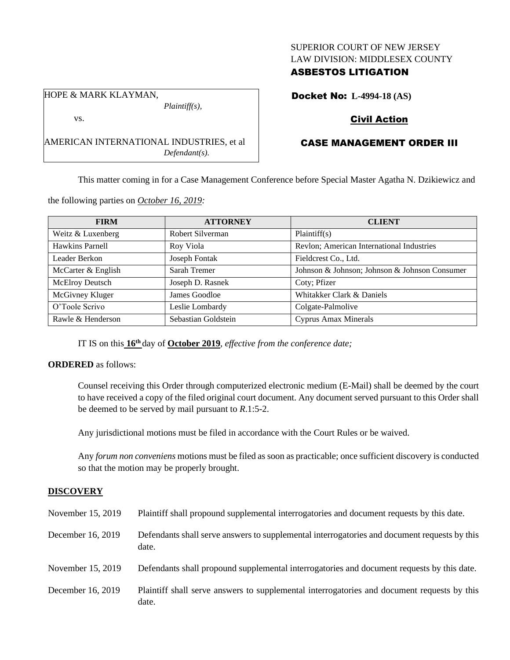## SUPERIOR COURT OF NEW JERSEY LAW DIVISION: MIDDLESEX COUNTY

# ASBESTOS LITIGATION

HOPE & MARK KLAYMAN, *Plaintiff(s),*

vs.

AMERICAN INTERNATIONAL INDUSTRIES, et al *Defendant(s).*

Docket No: **L-4994-18 (AS)**

# Civil Action

# CASE MANAGEMENT ORDER III

This matter coming in for a Case Management Conference before Special Master Agatha N. Dzikiewicz and

the following parties on *October 16, 2019:*

| <b>FIRM</b>        | <b>ATTORNEY</b>     | <b>CLIENT</b>                                 |
|--------------------|---------------------|-----------------------------------------------|
| Weitz & Luxenberg  | Robert Silverman    | Plaintiff(s)                                  |
| Hawkins Parnell    | Roy Viola           | Revlon; American International Industries     |
| Leader Berkon      | Joseph Fontak       | Fieldcrest Co., Ltd.                          |
| McCarter & English | Sarah Tremer        | Johnson & Johnson; Johnson & Johnson Consumer |
| McElroy Deutsch    | Joseph D. Rasnek    | Coty; Pfizer                                  |
| McGivney Kluger    | James Goodloe       | Whitakker Clark & Daniels                     |
| O'Toole Scrivo     | Leslie Lombardy     | Colgate-Palmolive                             |
| Rawle & Henderson  | Sebastian Goldstein | <b>Cyprus Amax Minerals</b>                   |

IT IS on this **16th** day of **October 2019**, *effective from the conference date;*

## **ORDERED** as follows:

Counsel receiving this Order through computerized electronic medium (E-Mail) shall be deemed by the court to have received a copy of the filed original court document. Any document served pursuant to this Order shall be deemed to be served by mail pursuant to *R*.1:5-2.

Any jurisdictional motions must be filed in accordance with the Court Rules or be waived.

Any *forum non conveniens* motions must be filed as soon as practicable; once sufficient discovery is conducted so that the motion may be properly brought.

# **DISCOVERY**

| November 15, 2019 | Plaintiff shall propound supplemental interrogatories and document requests by this date.             |
|-------------------|-------------------------------------------------------------------------------------------------------|
| December 16, 2019 | Defendants shall serve answers to supplemental interrogatories and document requests by this<br>date. |
| November 15, 2019 | Defendants shall propound supplemental interrogatories and document requests by this date.            |
| December 16, 2019 | Plaintiff shall serve answers to supplemental interrogatories and document requests by this<br>date.  |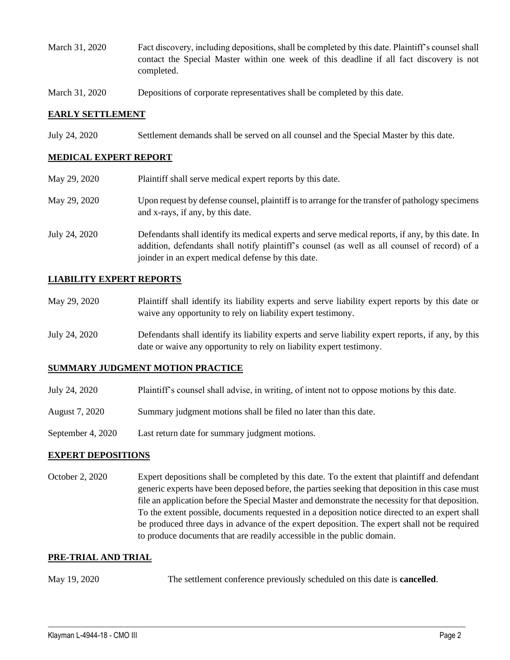- March 31, 2020 Fact discovery, including depositions, shall be completed by this date. Plaintiff's counsel shall contact the Special Master within one week of this deadline if all fact discovery is not completed.
- March 31, 2020 Depositions of corporate representatives shall be completed by this date.

### **EARLY SETTLEMENT**

July 24, 2020 Settlement demands shall be served on all counsel and the Special Master by this date.

# **MEDICAL EXPERT REPORT**

| May 29, 2020  | Plaintiff shall serve medical expert reports by this date.                                                                                                                                                                                               |
|---------------|----------------------------------------------------------------------------------------------------------------------------------------------------------------------------------------------------------------------------------------------------------|
| May 29, 2020  | Upon request by defense counsel, plaintiff is to arrange for the transfer of pathology specimens<br>and x-rays, if any, by this date.                                                                                                                    |
| July 24, 2020 | Defendants shall identify its medical experts and serve medical reports, if any, by this date. In<br>addition, defendants shall notify plaintiff's counsel (as well as all counsel of record) of a<br>joinder in an expert medical defense by this date. |

#### **LIABILITY EXPERT REPORTS**

| May 29, 2020 | Plaintiff shall identify its liability experts and serve liability expert reports by this date or |
|--------------|---------------------------------------------------------------------------------------------------|
|              | waive any opportunity to rely on liability expert testimony.                                      |
|              |                                                                                                   |

July 24, 2020 Defendants shall identify its liability experts and serve liability expert reports, if any, by this date or waive any opportunity to rely on liability expert testimony.

### **SUMMARY JUDGMENT MOTION PRACTICE**

- July 24, 2020 Plaintiff's counsel shall advise, in writing, of intent not to oppose motions by this date.
- August 7, 2020 Summary judgment motions shall be filed no later than this date.
- September 4, 2020 Last return date for summary judgment motions.

#### **EXPERT DEPOSITIONS**

October 2, 2020 Expert depositions shall be completed by this date. To the extent that plaintiff and defendant generic experts have been deposed before, the parties seeking that deposition in this case must file an application before the Special Master and demonstrate the necessity for that deposition. To the extent possible, documents requested in a deposition notice directed to an expert shall be produced three days in advance of the expert deposition. The expert shall not be required to produce documents that are readily accessible in the public domain.

#### **PRE-TRIAL AND TRIAL**

May 19, 2020 The settlement conference previously scheduled on this date is **cancelled**.

 $\_$  , and the set of the set of the set of the set of the set of the set of the set of the set of the set of the set of the set of the set of the set of the set of the set of the set of the set of the set of the set of th